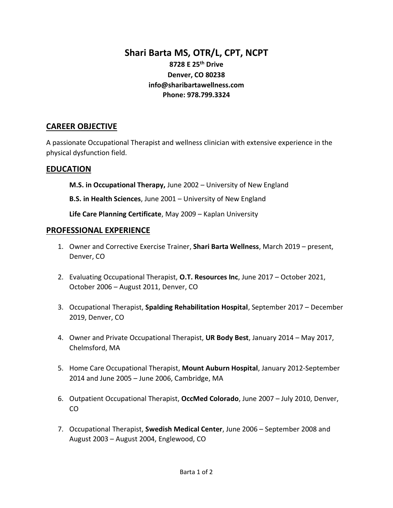# **Shari Barta MS, OTR/L, CPT, NCPT**

## **8728 E 25th Drive Denver, CO 80238 info@sharibartawellness.com Phone: 978.799.3324**

### **CAREER OBJECTIVE**

A passionate Occupational Therapist and wellness clinician with extensive experience in the physical dysfunction field.

### **EDUCATION**

**M.S. in Occupational Therapy,** June 2002 – University of New England

**B.S. in Health Sciences**, June 2001 – University of New England

**Life Care Planning Certificate**, May 2009 – Kaplan University

#### **PROFESSIONAL EXPERIENCE**

- 1. Owner and Corrective Exercise Trainer, **Shari Barta Wellness**, March 2019 present, Denver, CO
- 2. Evaluating Occupational Therapist, **O.T. Resources Inc**, June 2017 October 2021, October 2006 – August 2011, Denver, CO
- 3. Occupational Therapist, **Spalding Rehabilitation Hospital**, September 2017 December 2019, Denver, CO
- 4. Owner and Private Occupational Therapist, **UR Body Best**, January 2014 May 2017, Chelmsford, MA
- 5. Home Care Occupational Therapist, **Mount Auburn Hospital**, January 2012-September 2014 and June 2005 – June 2006, Cambridge, MA
- 6. Outpatient Occupational Therapist, **OccMed Colorado**, June 2007 July 2010, Denver, CO
- 7. Occupational Therapist, **Swedish Medical Center**, June 2006 September 2008 and August 2003 – August 2004, Englewood, CO